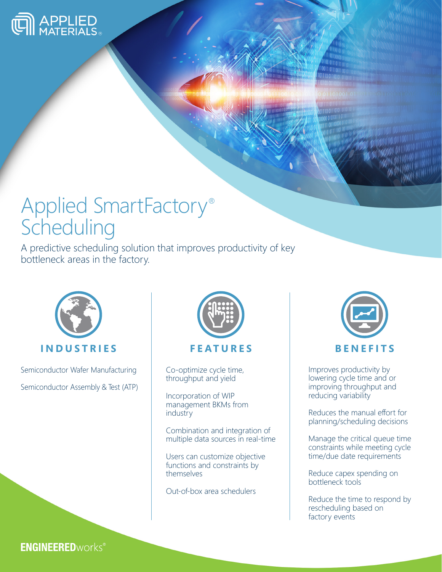

# Applied SmartFactory® Scheduling

A predictive scheduling solution that improves productivity of key bottleneck areas in the factory.



Semiconductor Wafer Manufacturing Semiconductor Assembly & Test (ATP)



Co-optimize cycle time, throughput and yield

Incorporation of WIP management BKMs from industry

Combination and integration of multiple data sources in real-time

Users can customize objective functions and constraints by themselves

Out-of-box area schedulers



Improves productivity by lowering cycle time and or improving throughput and reducing variability

Reduces the manual effort for planning/scheduling decisions

Manage the critical queue time constraints while meeting cycle time/due date requirements

Reduce capex spending on bottleneck tools

Reduce the time to respond by rescheduling based on factory events

**ENGINEERED**works®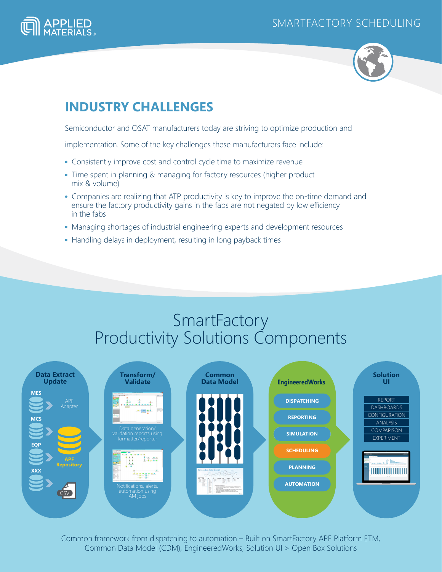### SMARTFACTORY SCHEDULING





## **INDUSTRY CHALLENGES**

Semiconductor and OSAT manufacturers today are striving to optimize production and

implementation. Some of the key challenges these manufacturers face include:

- Consistently improve cost and control cycle time to maximize revenue
- Time spent in planning & managing for factory resources (higher product mix & volume)
- Companies are realizing that ATP productivity is key to improve the on-time demand and ensure the factory productivity gains in the fabs are not negated by low efficiency in the fabs
- Managing shortages of industrial engineering experts and development resources
- Handling delays in deployment, resulting in long payback times

# **SmartFactory** Productivity Solutions Components



Common framework from dispatching to automation – Built on SmartFactory APF Platform ETM, Common Data Model (CDM), EngineeredWorks, Solution UI > Open Box Solutions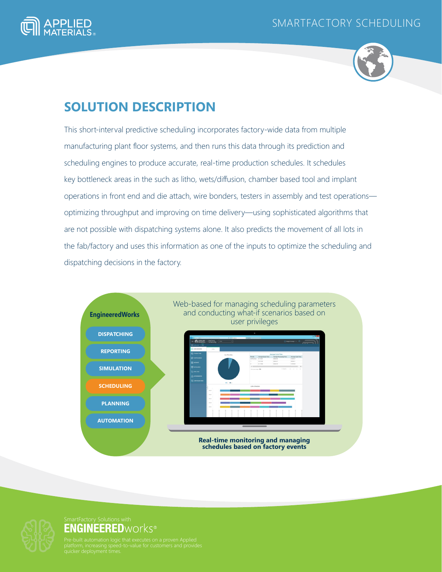



### **SOLUTION DESCRIPTION**

This short-interval predictive scheduling incorporates factory-wide data from multiple manufacturing plant floor systems, and then runs this data through its prediction and scheduling engines to produce accurate, real-time production schedules. It schedules key bottleneck areas in the such as litho, wets/diffusion, chamber based tool and implant operations in front end and die attach, wire bonders, testers in assembly and test operations optimizing throughput and improving on time delivery—using sophisticated algorithms that are not possible with dispatching systems alone. It also predicts the movement of all lots in the fab/factory and uses this information as one of the inputs to optimize the scheduling and dispatching decisions in the factory.





# SmartFactory Solutions with<br>**ENGINEERED**WOrkS®